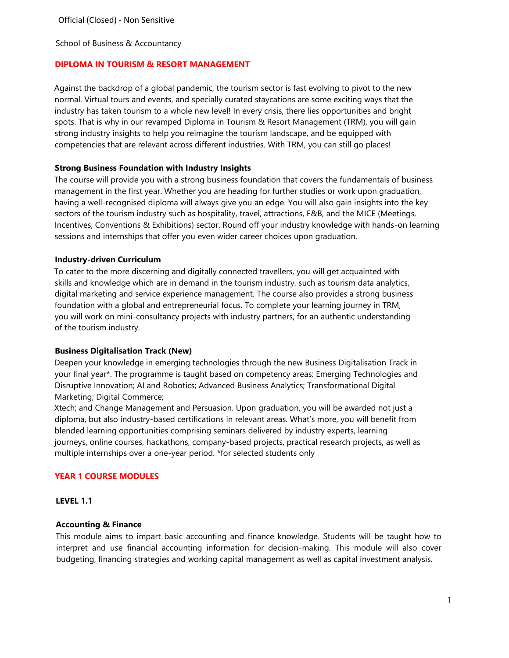School of Business & Accountancy

### **DIPLOMA IN TOURISM & RESORT MANAGEMENT**

Against the backdrop of a global pandemic, the tourism sector is fast evolving to pivot to the new normal. Virtual tours and events, and specially curated staycations are some exciting ways that the industry has taken tourism to a whole new level! In every crisis, there lies opportunities and bright spots. That is why in our revamped Diploma in Tourism & Resort Management (TRM), you will gain strong industry insights to help you reimagine the tourism landscape, and be equipped with competencies that are relevant across different industries. With TRM, you can still go places!

### **Strong Business Foundation with Industry Insights**

The course will provide you with a strong business foundation that covers the fundamentals of business management in the first year. Whether you are heading for further studies or work upon graduation, having a well-recognised diploma will always give you an edge. You will also gain insights into the key sectors of the tourism industry such as hospitality, travel, attractions, F&B, and the MICE (Meetings, Incentives, Conventions & Exhibitions) sector. Round off your industry knowledge with hands-on learning sessions and internships that offer you even wider career choices upon graduation.

### **Industry-driven Curriculum**

To cater to the more discerning and digitally connected travellers, you will get acquainted with skills and knowledge which are in demand in the tourism industry, such as tourism data analytics, digital marketing and service experience management. The course also provides a strong business foundation with a global and entrepreneurial focus. To complete your learning journey in TRM, you will work on mini-consultancy projects with industry partners, for an authentic understanding of the tourism industry.

#### **Business Digitalisation Track (New)**

Deepen your knowledge in emerging technologies through the new Business Digitalisation Track in your final year\*. The programme is taught based on competency areas: Emerging Technologies and Disruptive Innovation; AI and Robotics; Advanced Business Analytics; Transformational Digital Marketing; Digital Commerce;

Xtech; and Change Management and Persuasion. Upon graduation, you will be awarded not just a diploma, but also industry-based certifications in relevant areas. What's more, you will benefit from blended learning opportunities comprising seminars delivered by industry experts, learning journeys, online courses, hackathons, company-based projects, practical research projects, as well as multiple internships over a one-year period. \*for selected students only

## **YEAR 1 COURSE MODULES**

#### **LEVEL 1.1**

#### **Accounting & Finance**

This module aims to impart basic accounting and finance knowledge. Students will be taught how to interpret and use financial accounting information for decision-making. This module will also cover budgeting, financing strategies and working capital management as well as capital investment analysis.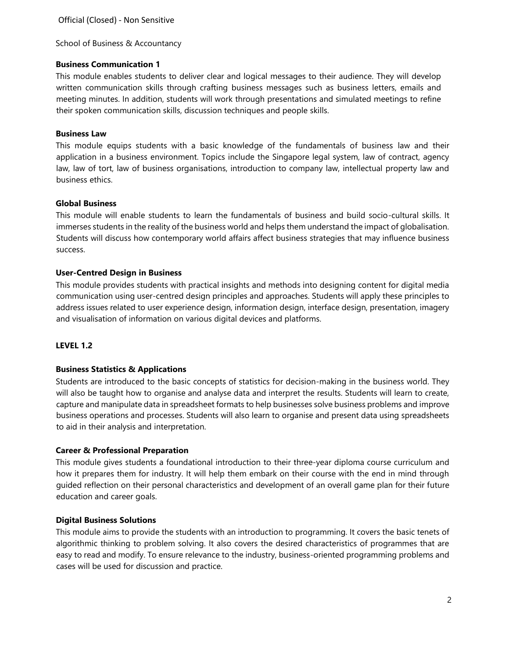School of Business & Accountancy

### **Business Communication 1**

This module enables students to deliver clear and logical messages to their audience. They will develop written communication skills through crafting business messages such as business letters, emails and meeting minutes. In addition, students will work through presentations and simulated meetings to refine their spoken communication skills, discussion techniques and people skills.

### **Business Law**

This module equips students with a basic knowledge of the fundamentals of business law and their application in a business environment. Topics include the Singapore legal system, law of contract, agency law, law of tort, law of business organisations, introduction to company law, intellectual property law and business ethics.

### **Global Business**

This module will enable students to learn the fundamentals of business and build socio-cultural skills. It immerses students in the reality of the business world and helps them understand the impact of globalisation. Students will discuss how contemporary world affairs affect business strategies that may influence business success.

### **User-Centred Design in Business**

This module provides students with practical insights and methods into designing content for digital media communication using user-centred design principles and approaches. Students will apply these principles to address issues related to user experience design, information design, interface design, presentation, imagery and visualisation of information on various digital devices and platforms.

## **LEVEL 1.2**

## **Business Statistics & Applications**

Students are introduced to the basic concepts of statistics for decision-making in the business world. They will also be taught how to organise and analyse data and interpret the results. Students will learn to create, capture and manipulate data in spreadsheet formats to help businesses solve business problems and improve business operations and processes. Students will also learn to organise and present data using spreadsheets to aid in their analysis and interpretation.

#### **Career & Professional Preparation**

This module gives students a foundational introduction to their three-year diploma course curriculum and how it prepares them for industry. It will help them embark on their course with the end in mind through guided reflection on their personal characteristics and development of an overall game plan for their future education and career goals.

#### **Digital Business Solutions**

This module aims to provide the students with an introduction to programming. It covers the basic tenets of algorithmic thinking to problem solving. It also covers the desired characteristics of programmes that are easy to read and modify. To ensure relevance to the industry, business-oriented programming problems and cases will be used for discussion and practice.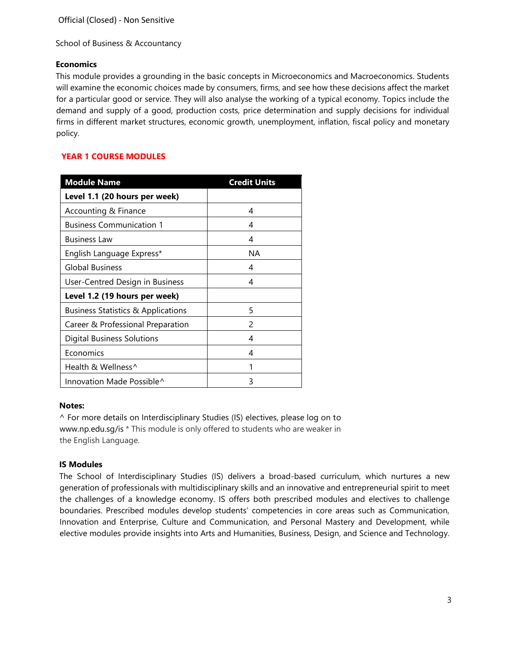School of Business & Accountancy

## **Economics**

This module provides a grounding in the basic concepts in Microeconomics and Macroeconomics. Students will examine the economic choices made by consumers, firms, and see how these decisions affect the market for a particular good or service. They will also analyse the working of a typical economy. Topics include the demand and supply of a good, production costs, price determination and supply decisions for individual firms in different market structures, economic growth, unemployment, inflation, fiscal policy and monetary policy.

# **YEAR 1 COURSE MODULES**

| <b>Module Name</b>                            | <b>Credit Units</b> |
|-----------------------------------------------|---------------------|
| Level 1.1 (20 hours per week)                 |                     |
| Accounting & Finance                          | 4                   |
| <b>Business Communication 1</b>               | 4                   |
| <b>Business Law</b>                           | 4                   |
| English Language Express*                     | ΝA                  |
| <b>Global Business</b>                        | 4                   |
| User-Centred Design in Business               | 4                   |
| Level 1.2 (19 hours per week)                 |                     |
| <b>Business Statistics &amp; Applications</b> | 5                   |
| Career & Professional Preparation             | $\mathcal{P}$       |
| Digital Business Solutions                    | 4                   |
| Economics                                     | 4                   |
| Health & Wellness^                            |                     |
| Innovation Made Possible^                     | ς                   |

#### **Notes:**

^ For more details on Interdisciplinary Studies (IS) electives, please log on [to](http://www.np.edu.sg/is)  [www.np.edu.sg/is \\*](http://www.np.edu.sg/is) This module is only offered to students who are weaker in the English Language.

## **IS Modules**

The School of Interdisciplinary Studies (IS) delivers a broad-based curriculum, which nurtures a new generation of professionals with multidisciplinary skills and an innovative and entrepreneurial spirit to meet the challenges of a knowledge economy. IS offers both prescribed modules and electives to challenge boundaries. Prescribed modules develop students' competencies in core areas such as Communication, Innovation and Enterprise, Culture and Communication, and Personal Mastery and Development, while elective modules provide insights into Arts and Humanities, Business, Design, and Science and Technology.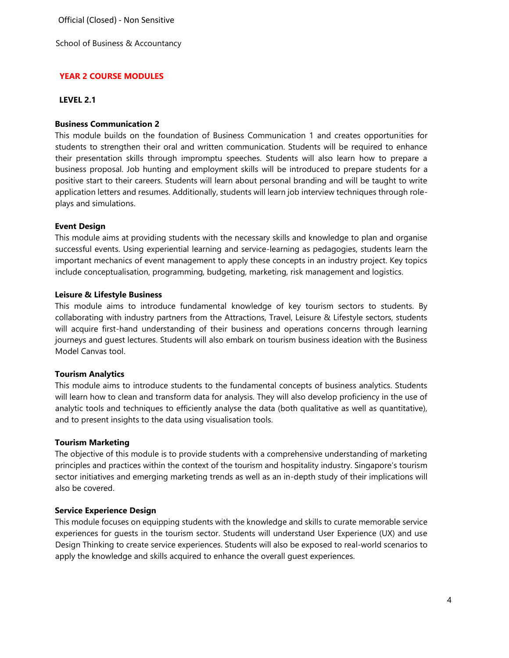School of Business & Accountancy

# **YEAR 2 COURSE MODULES**

#### **LEVEL 2.1**

## **Business Communication 2**

This module builds on the foundation of Business Communication 1 and creates opportunities for students to strengthen their oral and written communication. Students will be required to enhance their presentation skills through impromptu speeches. Students will also learn how to prepare a business proposal. Job hunting and employment skills will be introduced to prepare students for a positive start to their careers. Students will learn about personal branding and will be taught to write application letters and resumes. Additionally, students will learn job interview techniques through roleplays and simulations.

## **Event Design**

This module aims at providing students with the necessary skills and knowledge to plan and organise successful events. Using experiential learning and service-learning as pedagogies, students learn the important mechanics of event management to apply these concepts in an industry project. Key topics include conceptualisation, programming, budgeting, marketing, risk management and logistics.

### **Leisure & Lifestyle Business**

This module aims to introduce fundamental knowledge of key tourism sectors to students. By collaborating with industry partners from the Attractions, Travel, Leisure & Lifestyle sectors, students will acquire first-hand understanding of their business and operations concerns through learning journeys and guest lectures. Students will also embark on tourism business ideation with the Business Model Canvas tool.

#### **Tourism Analytics**

This module aims to introduce students to the fundamental concepts of business analytics. Students will learn how to clean and transform data for analysis. They will also develop proficiency in the use of analytic tools and techniques to efficiently analyse the data (both qualitative as well as quantitative), and to present insights to the data using visualisation tools.

#### **Tourism Marketing**

The objective of this module is to provide students with a comprehensive understanding of marketing principles and practices within the context of the tourism and hospitality industry. Singapore's tourism sector initiatives and emerging marketing trends as well as an in-depth study of their implications will also be covered.

#### **Service Experience Design**

This module focuses on equipping students with the knowledge and skills to curate memorable service experiences for guests in the tourism sector. Students will understand User Experience (UX) and use Design Thinking to create service experiences. Students will also be exposed to real-world scenarios to apply the knowledge and skills acquired to enhance the overall guest experiences.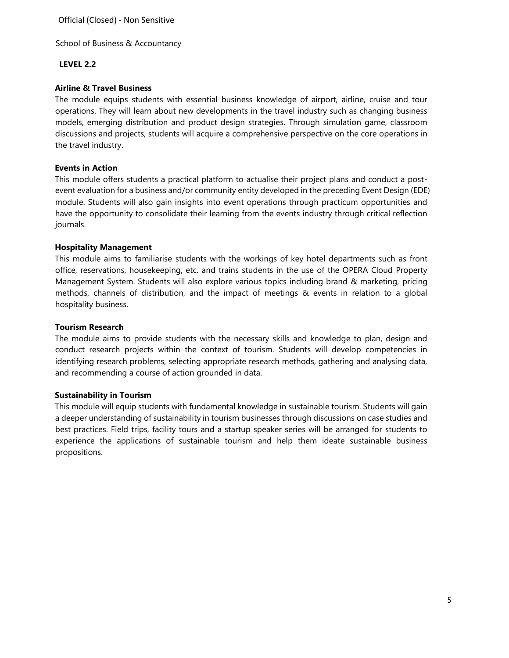School of Business & Accountancy

## **LEVEL 2.2**

### **Airline & Travel Business**

The module equips students with essential business knowledge of airport, airline, cruise and tour operations. They will learn about new developments in the travel industry such as changing business models, emerging distribution and product design strategies. Through simulation game, classroom discussions and projects, students will acquire a comprehensive perspective on the core operations in the travel industry.

#### **Events in Action**

This module offers students a practical platform to actualise their project plans and conduct a postevent evaluation for a business and/or community entity developed in the preceding Event Design (EDE) module. Students will also gain insights into event operations through practicum opportunities and have the opportunity to consolidate their learning from the events industry through critical reflection journals.

### **Hospitality Management**

This module aims to familiarise students with the workings of key hotel departments such as front office, reservations, housekeeping, etc. and trains students in the use of the OPERA Cloud Property Management System. Students will also explore various topics including brand & marketing, pricing methods, channels of distribution, and the impact of meetings & events in relation to a global hospitality business.

### **Tourism Research**

The module aims to provide students with the necessary skills and knowledge to plan, design and conduct research projects within the context of tourism. Students will develop competencies in identifying research problems, selecting appropriate research methods, gathering and analysing data, and recommending a course of action grounded in data.

#### **Sustainability in Tourism**

This module will equip students with fundamental knowledge in sustainable tourism. Students will gain a deeper understanding of sustainability in tourism businesses through discussions on case studies and best practices. Field trips, facility tours and a startup speaker series will be arranged for students to experience the applications of sustainable tourism and help them ideate sustainable business propositions.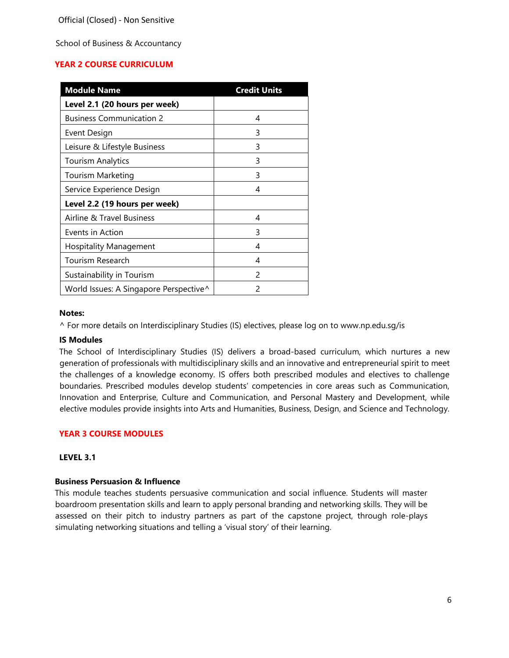School of Business & Accountancy

# **YEAR 2 COURSE CURRICULUM**

| <b>Module Name</b>                     | <b>Credit Units</b> |
|----------------------------------------|---------------------|
| Level 2.1 (20 hours per week)          |                     |
| <b>Business Communication 2</b>        | 4                   |
| Event Design                           | 3                   |
| Leisure & Lifestyle Business           | 3                   |
| Tourism Analytics                      | 3                   |
| Tourism Marketing                      | 3                   |
| Service Experience Design              | 4                   |
| Level 2.2 (19 hours per week)          |                     |
| Airline & Travel Business              | 4                   |
| Events in Action                       | 3                   |
| <b>Hospitality Management</b>          | 4                   |
| Tourism Research                       | 4                   |
| Sustainability in Tourism              | $\mathcal{P}$       |
| World Issues: A Singapore Perspective^ | 2                   |

#### **Notes:**

^ For more details on Interdisciplinary Studies (IS) electives, please log on [to www.np.edu.sg/is](http://www.np.edu.sg/is) 

#### **IS Modules**

The School of Interdisciplinary Studies (IS) delivers a broad-based curriculum, which nurtures a new generation of professionals with multidisciplinary skills and an innovative and entrepreneurial spirit to meet the challenges of a knowledge economy. IS offers both prescribed modules and electives to challenge boundaries. Prescribed modules develop students' competencies in core areas such as Communication, Innovation and Enterprise, Culture and Communication, and Personal Mastery and Development, while elective modules provide insights into Arts and Humanities, Business, Design, and Science and Technology.

## **YEAR 3 COURSE MODULES**

### **LEVEL 3.1**

## **Business Persuasion & Influence**

This module teaches students persuasive communication and social influence. Students will master boardroom presentation skills and learn to apply personal branding and networking skills. They will be assessed on their pitch to industry partners as part of the capstone project, through role-plays simulating networking situations and telling a 'visual story' of their learning.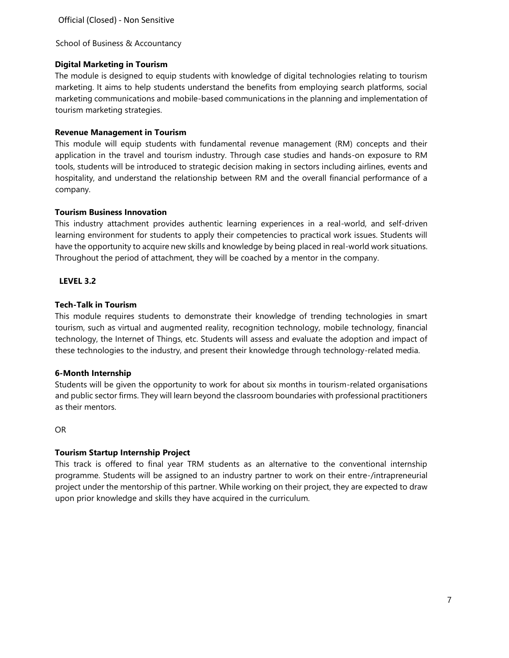School of Business & Accountancy

## **Digital Marketing in Tourism**

The module is designed to equip students with knowledge of digital technologies relating to tourism marketing. It aims to help students understand the benefits from employing search platforms, social marketing communications and mobile-based communications in the planning and implementation of tourism marketing strategies.

### **Revenue Management in Tourism**

This module will equip students with fundamental revenue management (RM) concepts and their application in the travel and tourism industry. Through case studies and hands-on exposure to RM tools, students will be introduced to strategic decision making in sectors including airlines, events and hospitality, and understand the relationship between RM and the overall financial performance of a company.

### **Tourism Business Innovation**

This industry attachment provides authentic learning experiences in a real-world, and self-driven learning environment for students to apply their competencies to practical work issues. Students will have the opportunity to acquire new skills and knowledge by being placed in real-world work situations. Throughout the period of attachment, they will be coached by a mentor in the company.

### **LEVEL 3.2**

### **Tech-Talk in Tourism**

This module requires students to demonstrate their knowledge of trending technologies in smart tourism, such as virtual and augmented reality, recognition technology, mobile technology, financial technology, the Internet of Things, etc. Students will assess and evaluate the adoption and impact of these technologies to the industry, and present their knowledge through technology-related media.

## **6-Month Internship**

Students will be given the opportunity to work for about six months in tourism-related organisations and public sector firms. They will learn beyond the classroom boundaries with professional practitioners as their mentors.

OR

## **Tourism Startup Internship Project**

This track is offered to final year TRM students as an alternative to the conventional internship programme. Students will be assigned to an industry partner to work on their entre-/intrapreneurial project under the mentorship of this partner. While working on their project, they are expected to draw upon prior knowledge and skills they have acquired in the curriculum.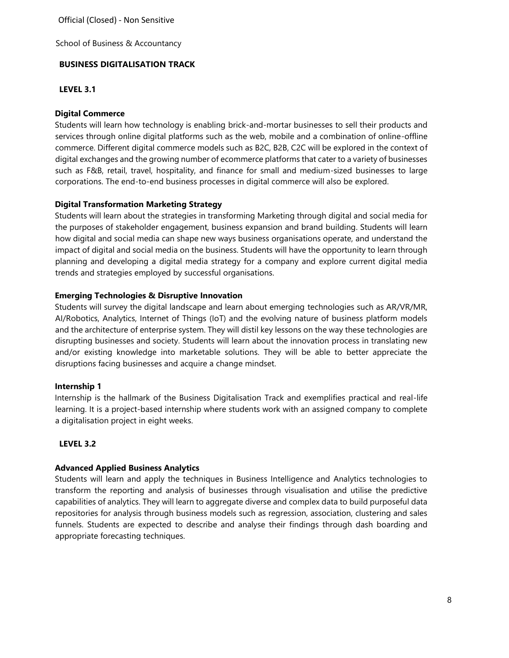School of Business & Accountancy

## **BUSINESS DIGITALISATION TRACK**

## **LEVEL 3.1**

## **Digital Commerce**

Students will learn how technology is enabling brick-and-mortar businesses to sell their products and services through online digital platforms such as the web, mobile and a combination of online-offline commerce. Different digital commerce models such as B2C, B2B, C2C will be explored in the context of digital exchanges and the growing number of ecommerce platforms that cater to a variety of businesses such as F&B, retail, travel, hospitality, and finance for small and medium-sized businesses to large corporations. The end-to-end business processes in digital commerce will also be explored.

## **Digital Transformation Marketing Strategy**

Students will learn about the strategies in transforming Marketing through digital and social media for the purposes of stakeholder engagement, business expansion and brand building. Students will learn how digital and social media can shape new ways business organisations operate, and understand the impact of digital and social media on the business. Students will have the opportunity to learn through planning and developing a digital media strategy for a company and explore current digital media trends and strategies employed by successful organisations.

### **Emerging Technologies & Disruptive Innovation**

Students will survey the digital landscape and learn about emerging technologies such as AR/VR/MR, AI/Robotics, Analytics, Internet of Things (IoT) and the evolving nature of business platform models and the architecture of enterprise system. They will distil key lessons on the way these technologies are disrupting businesses and society. Students will learn about the innovation process in translating new and/or existing knowledge into marketable solutions. They will be able to better appreciate the disruptions facing businesses and acquire a change mindset.

#### **Internship 1**

Internship is the hallmark of the Business Digitalisation Track and exemplifies practical and real-life learning. It is a project-based internship where students work with an assigned company to complete a digitalisation project in eight weeks.

## **LEVEL 3.2**

#### **Advanced Applied Business Analytics**

Students will learn and apply the techniques in Business Intelligence and Analytics technologies to transform the reporting and analysis of businesses through visualisation and utilise the predictive capabilities of analytics. They will learn to aggregate diverse and complex data to build purposeful data repositories for analysis through business models such as regression, association, clustering and sales funnels. Students are expected to describe and analyse their findings through dash boarding and appropriate forecasting techniques.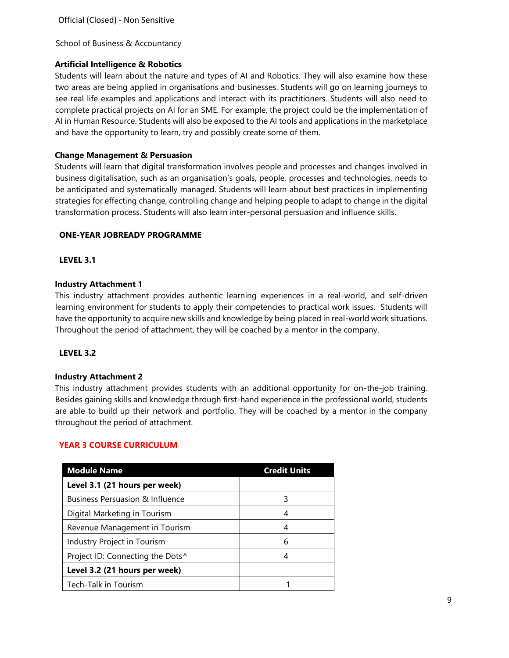School of Business & Accountancy

## **Artificial Intelligence & Robotics**

Students will learn about the nature and types of AI and Robotics. They will also examine how these two areas are being applied in organisations and businesses. Students will go on learning journeys to see real life examples and applications and interact with its practitioners. Students will also need to complete practical projects on AI for an SME. For example, the project could be the implementation of AI in Human Resource. Students will also be exposed to the AI tools and applications in the marketplace and have the opportunity to learn, try and possibly create some of them.

### **Change Management & Persuasion**

Students will learn that digital transformation involves people and processes and changes involved in business digitalisation, such as an organisation's goals, people, processes and technologies, needs to be anticipated and systematically managed. Students will learn about best practices in implementing strategies for effecting change, controlling change and helping people to adapt to change in the digital transformation process. Students will also learn inter-personal persuasion and influence skills.

### **ONE-YEAR JOBREADY PROGRAMME**

## **LEVEL 3.1**

### **Industry Attachment 1**

This industry attachment provides authentic learning experiences in a real-world, and self-driven learning environment for students to apply their competencies to practical work issues. Students will have the opportunity to acquire new skills and knowledge by being placed in real-world work situations. Throughout the period of attachment, they will be coached by a mentor in the company.

#### **LEVEL 3.2**

#### **Industry Attachment 2**

This industry attachment provides students with an additional opportunity for on-the-job training. Besides gaining skills and knowledge through first-hand experience in the professional world, students are able to build up their network and portfolio. They will be coached by a mentor in the company throughout the period of attachment.

## **YEAR 3 COURSE CURRICULUM**

| <b>Module Name</b>                         | <b>Credit Units</b> |
|--------------------------------------------|---------------------|
| Level 3.1 (21 hours per week)              |                     |
| <b>Business Persuasion &amp; Influence</b> | 3                   |
| Digital Marketing in Tourism               |                     |
| Revenue Management in Tourism              |                     |
| Industry Project in Tourism                | 6                   |
| Project ID: Connecting the Dots^           |                     |
| Level 3.2 (21 hours per week)              |                     |
| Tech-Talk in Tourism                       |                     |